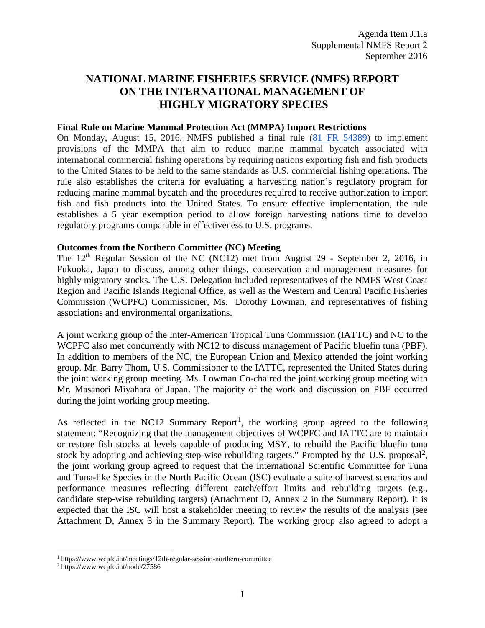## **NATIONAL MARINE FISHERIES SERVICE (NMFS) REPORT ON THE INTERNATIONAL MANAGEMENT OF HIGHLY MIGRATORY SPECIES**

## **Final Rule on Marine Mammal Protection Act (MMPA) Import Restrictions**

On Monday, August 15, 2016, NMFS published a final rule [\(81 FR 54389\)](https://federalregister.gov/a/2016-19158) to implement provisions of the MMPA that aim to reduce marine mammal bycatch associated with international commercial fishing operations by requiring nations exporting fish and fish products to the United States to be held to the same standards as U.S. commercial fishing operations. The rule also establishes the criteria for evaluating a harvesting nation's regulatory program for reducing marine mammal bycatch and the procedures required to receive authorization to import fish and fish products into the United States. To ensure effective implementation, the [rule](https://www.federalregister.gov/articles/2016/08/15/2016-19158/fish-and-fish-product-import-provisions-of-the-marine-mammal-protection-act) establishes a 5 year exemption period to allow foreign harvesting nations time to develop regulatory programs comparable in effectiveness to U.S. programs.

## **Outcomes from the Northern Committee (NC) Meeting**

The 12th Regular Session of the NC (NC12) met from August 29 - September 2, 2016, in Fukuoka, Japan to discuss, among other things, conservation and management measures for highly migratory stocks. The U.S. Delegation included representatives of the NMFS West Coast Region and Pacific Islands Regional Office, as well as the Western and Central Pacific Fisheries Commission (WCPFC) Commissioner, Ms. Dorothy Lowman, and representatives of fishing associations and environmental organizations.

A joint working group of the Inter-American Tropical Tuna Commission (IATTC) and NC to the WCPFC also met concurrently with NC12 to discuss management of Pacific bluefin tuna (PBF). In addition to members of the NC, the European Union and Mexico attended the joint working group. Mr. Barry Thom, U.S. Commissioner to the IATTC, represented the United States during the joint working group meeting. Ms. Lowman Co-chaired the joint working group meeting with Mr. Masanori Miyahara of Japan. The majority of the work and discussion on PBF occurred during the joint working group meeting.

As reflected in the NC[1](#page-0-0)2 Summary Report<sup>1</sup>, the working group agreed to the following statement: "Recognizing that the management objectives of WCPFC and IATTC are to maintain or restore fish stocks at levels capable of producing MSY, to rebuild the Pacific bluefin tuna stock by adopting and achieving step-wise rebuilding targets." Prompted by the U.S. proposal<sup>[2](#page-0-1)</sup>, the joint working group agreed to request that the International Scientific Committee for Tuna and Tuna-like Species in the North Pacific Ocean (ISC) evaluate a suite of harvest scenarios and performance measures reflecting different catch/effort limits and rebuilding targets (e.g., candidate step-wise rebuilding targets) (Attachment D, Annex 2 in the Summary Report). It is expected that the ISC will host a stakeholder meeting to review the results of the analysis (see Attachment D, Annex 3 in the Summary Report). The working group also agreed to adopt a

<span id="page-0-0"></span><sup>1</sup> https://www.wcpfc.int/meetings/12th-regular-session-northern-committee

<span id="page-0-1"></span><sup>2</sup> https://www.wcpfc.int/node/27586